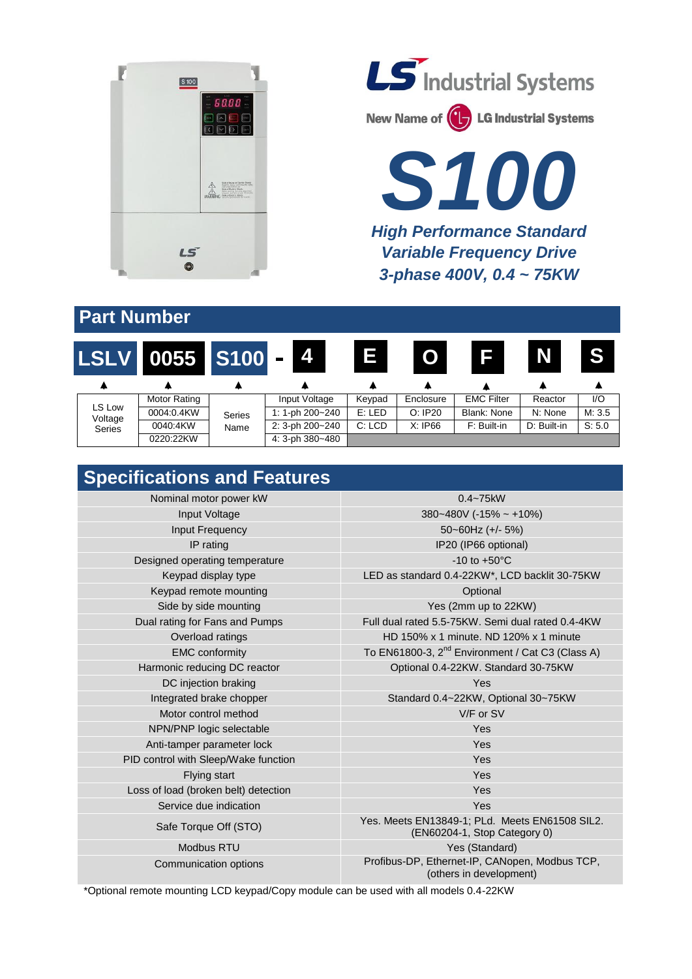

**LS** Industrial Systems

New Name of **(1)** LG Industrial Systems

*S100 High Performance Standard Variable Frequency Drive 3-phase 400V, 0.4 ~ 75KW*

## **Part Number**



## **Specifications and Features**

| Nominal motor power kW               | $0.4 - 75$ kW                                                                  |  |  |
|--------------------------------------|--------------------------------------------------------------------------------|--|--|
| Input Voltage                        | $380 - 480V$ (-15% ~ +10%)                                                     |  |  |
| Input Frequency                      | $50 - 60$ Hz (+/- 5%)                                                          |  |  |
| IP rating                            | IP20 (IP66 optional)                                                           |  |  |
| Designed operating temperature       | $-10$ to $+50^{\circ}$ C                                                       |  |  |
| Keypad display type                  | LED as standard 0.4-22KW*, LCD backlit 30-75KW                                 |  |  |
| Keypad remote mounting               | Optional                                                                       |  |  |
| Side by side mounting                | Yes (2mm up to 22KW)                                                           |  |  |
| Dual rating for Fans and Pumps       | Full dual rated 5.5-75KW. Semi dual rated 0.4-4KW                              |  |  |
| Overload ratings                     | HD 150% x 1 minute. ND 120% x 1 minute                                         |  |  |
| <b>EMC</b> conformity                | To EN61800-3, $2^{nd}$ Environment / Cat C3 (Class A)                          |  |  |
| Harmonic reducing DC reactor         | Optional 0.4-22KW. Standard 30-75KW                                            |  |  |
| DC injection braking                 | Yes                                                                            |  |  |
| Integrated brake chopper             | Standard 0.4~22KW, Optional 30~75KW                                            |  |  |
| Motor control method                 | V/F or SV                                                                      |  |  |
| NPN/PNP logic selectable             | Yes                                                                            |  |  |
| Anti-tamper parameter lock           | Yes                                                                            |  |  |
| PID control with Sleep/Wake function | Yes                                                                            |  |  |
| Flying start                         | Yes                                                                            |  |  |
| Loss of load (broken belt) detection | Yes                                                                            |  |  |
| Service due indication               | Yes                                                                            |  |  |
| Safe Torque Off (STO)                | Yes. Meets EN13849-1; PLd. Meets EN61508 SIL2.<br>(EN60204-1, Stop Category 0) |  |  |
| <b>Modbus RTU</b>                    | Yes (Standard)                                                                 |  |  |
| Communication options                | Profibus-DP, Ethernet-IP, CANopen, Modbus TCP,<br>(others in development)      |  |  |

\*Optional remote mounting LCD keypad/Copy module can be used with all models 0.4-22KW